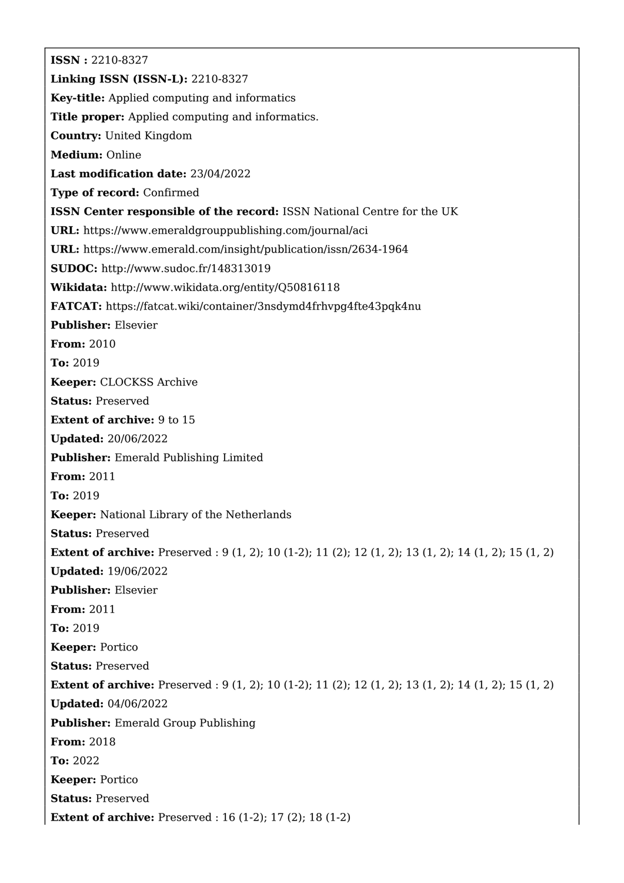**ISSN :** 2210-8327 **Linking ISSN (ISSN-L):** 2210-8327 **Key-title:** Applied computing and informatics **Title proper:** Applied computing and informatics. **Country:** United Kingdom **Medium:** Online **Last modification date:** 23/04/2022 **Type of record:** Confirmed **ISSN Center responsible of the record:** ISSN National Centre for the UK **URL:** <https://www.emeraldgrouppublishing.com/journal/aci> **URL:** <https://www.emerald.com/insight/publication/issn/2634-1964> **SUDOC:** <http://www.sudoc.fr/148313019> **Wikidata:** <http://www.wikidata.org/entity/Q50816118> **FATCAT:** <https://fatcat.wiki/container/3nsdymd4frhvpg4fte43pqk4nu> **Publisher:** Elsevier **From:** 2010 **To:** 2019 **Keeper:** CLOCKSS Archive **Status:** Preserved **Extent of archive:** 9 to 15 **Updated:** 20/06/2022 **Publisher:** Emerald Publishing Limited **From:** 2011 **To:** 2019 **Keeper:** National Library of the Netherlands **Status:** Preserved **Extent of archive:** Preserved : 9 (1, 2); 10 (1-2); 11 (2); 12 (1, 2); 13 (1, 2); 14 (1, 2); 15 (1, 2) **Updated:** 19/06/2022 **Publisher:** Elsevier **From:** 2011 **To:** 2019 **Keeper:** Portico **Status:** Preserved **Extent of archive:** Preserved : 9 (1, 2); 10 (1-2); 11 (2); 12 (1, 2); 13 (1, 2); 14 (1, 2); 15 (1, 2) **Updated:** 04/06/2022 **Publisher:** Emerald Group Publishing **From:** 2018 **To:** 2022 **Keeper:** Portico **Status:** Preserved **Extent of archive:** Preserved : 16 (1-2); 17 (2); 18 (1-2)